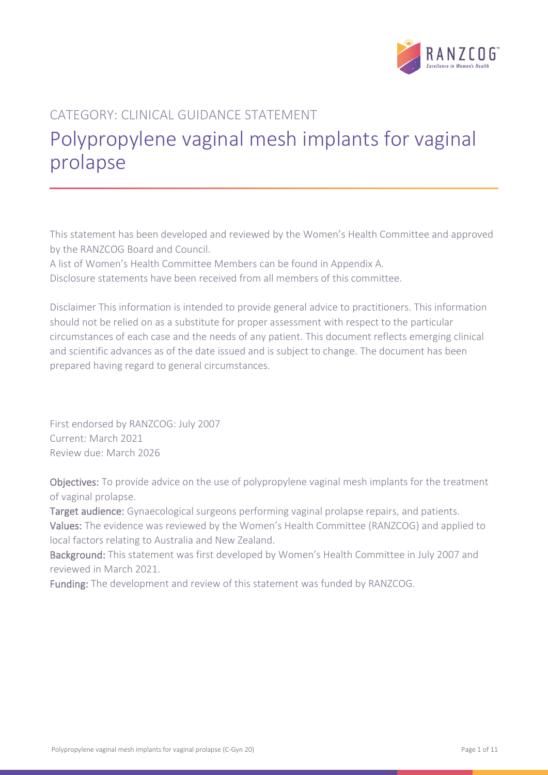

# CATEGORY: CLINICAL GUIDANCE STATEMENT Polypropylene vaginal mesh implants for vaginal prolapse

This statement has been developed and reviewed by the Women's Health Committee and approved by the RANZCOG Board and Council.

A list of Women's Health Committee Members can be found in Appendix A. Disclosure statements have been received from all members of this committee.

Disclaimer This information is intended to provide general advice to practitioners. This information should not be relied on as a substitute for proper assessment with respect to the particular circumstances of each case and the needs of any patient. This document reflects emerging clinical and scientific advances as of the date issued and is subject to change. The document has been prepared having regard to general circumstances.

First endorsed by RANZCOG: July 2007 Current: March 2021 Review due: March 2026

Objectives: To provide advice on the use of polypropylene vaginal mesh implants for the treatment of vaginal prolapse.

Target audience: Gynaecological surgeons performing vaginal prolapse repairs, and patients.

Values: The evidence was reviewed by the Women's Health Committee (RANZCOG) and applied to local factors relating to Australia and New Zealand.

Background: This statement was first developed by Women's Health Committee in July 2007 and reviewed in March 2021.

Funding: The development and review of this statement was funded by RANZCOG.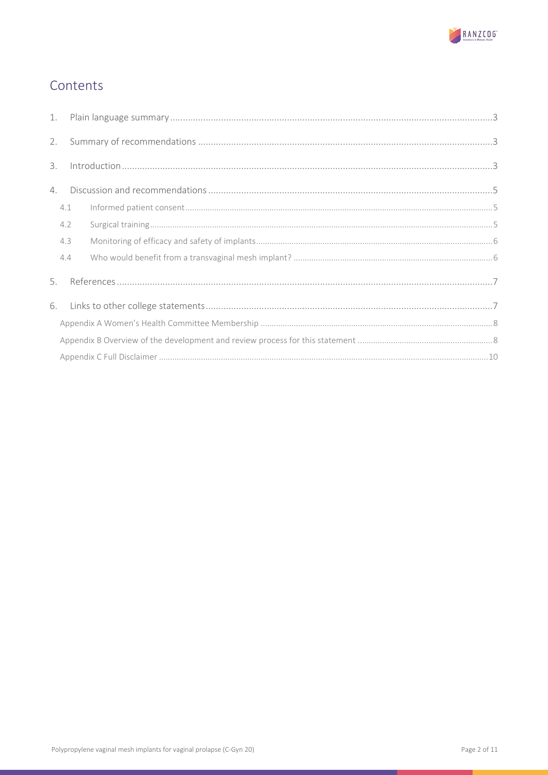

# Contents

| 1. |     |  |  |  |  |  |
|----|-----|--|--|--|--|--|
| 2. |     |  |  |  |  |  |
| 3. |     |  |  |  |  |  |
| 4. |     |  |  |  |  |  |
|    | 4.1 |  |  |  |  |  |
|    | 4.2 |  |  |  |  |  |
|    | 4.3 |  |  |  |  |  |
|    | 4.4 |  |  |  |  |  |
| 5. |     |  |  |  |  |  |
|    | 6.  |  |  |  |  |  |
|    |     |  |  |  |  |  |
|    |     |  |  |  |  |  |
|    |     |  |  |  |  |  |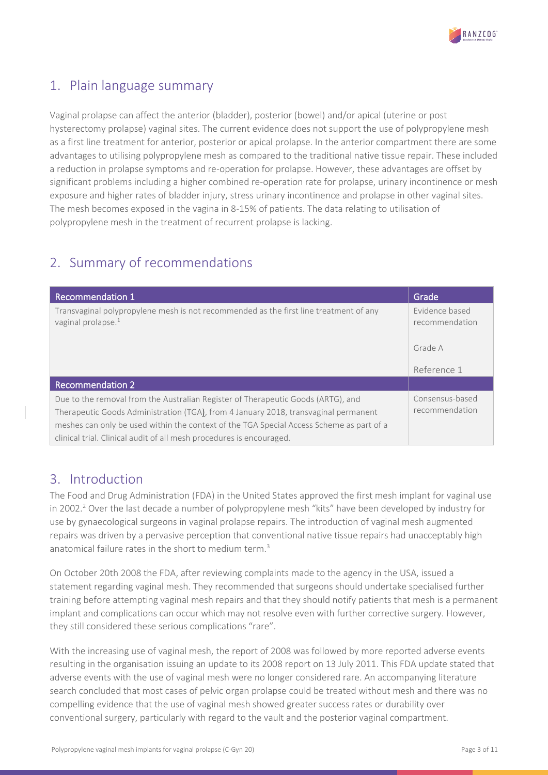

# <span id="page-2-0"></span>1. Plain language summary

Vaginal prolapse can affect the anterior (bladder), posterior (bowel) and/or apical (uterine or post hysterectomy prolapse) vaginal sites. The current evidence does not support the use of polypropylene mesh as a first line treatment for anterior, posterior or apical prolapse. In the anterior compartment there are some advantages to utilising polypropylene mesh as compared to the traditional native tissue repair. These included a reduction in prolapse symptoms and re-operation for prolapse. However, these advantages are offset by significant problems including a higher combined re-operation rate for prolapse, urinary incontinence or mesh exposure and higher rates of bladder injury, stress urinary incontinence and prolapse in other vaginal sites. The mesh becomes exposed in the vagina in 8-15% of patients. The data relating to utilisation of polypropylene mesh in the treatment of recurrent prolapse is lacking.

# <span id="page-2-1"></span>2. Summary of recommendations

| <b>Recommendation 1</b>                                                                                                 | Grade                            |
|-------------------------------------------------------------------------------------------------------------------------|----------------------------------|
| Transvaginal polypropylene mesh is not recommended as the first line treatment of any<br>vaginal prolapse. <sup>1</sup> | Evidence based<br>recommendation |
|                                                                                                                         | Grade A                          |
|                                                                                                                         | Reference 1                      |
| <b>Recommendation 2</b>                                                                                                 |                                  |
| Due to the removal from the Australian Register of Therapeutic Goods (ARTG), and                                        | Consensus-based                  |
| Therapeutic Goods Administration (TGA), from 4 January 2018, transvaginal permanent                                     | recommendation                   |
| meshes can only be used within the context of the TGA Special Access Scheme as part of a                                |                                  |
| clinical trial. Clinical audit of all mesh procedures is encouraged.                                                    |                                  |

### <span id="page-2-2"></span>3. Introduction

The Food and Drug Administration (FDA) in the United States approved the first mesh implant for vaginal use in 2002.<sup>2</sup> Over the last decade a number of polypropylene mesh "kits" have been developed by industry for use by gynaecological surgeons in vaginal prolapse repairs. The introduction of vaginal mesh augmented repairs was driven by a pervasive perception that conventional native tissue repairs had unacceptably high anatomical failure rates in the short to medium term.<sup>3</sup>

On October 20th 2008 the FDA, after reviewing complaints made to the agency in the USA, issued a statement regarding vaginal mesh. They recommended that surgeons should undertake specialised further training before attempting vaginal mesh repairs and that they should notify patients that mesh is a permanent implant and complications can occur which may not resolve even with further corrective surgery. However, they still considered these serious complications "rare".

With the increasing use of vaginal mesh, the report of 2008 was followed by more reported adverse events resulting in the organisation issuing an update to its 2008 report on 13 July 2011. This FDA update stated that adverse events with the use of vaginal mesh were no longer considered rare. An accompanying literature search concluded that most cases of pelvic organ prolapse could be treated without mesh and there was no compelling evidence that the use of vaginal mesh showed greater success rates or durability over conventional surgery, particularly with regard to the vault and the posterior vaginal compartment.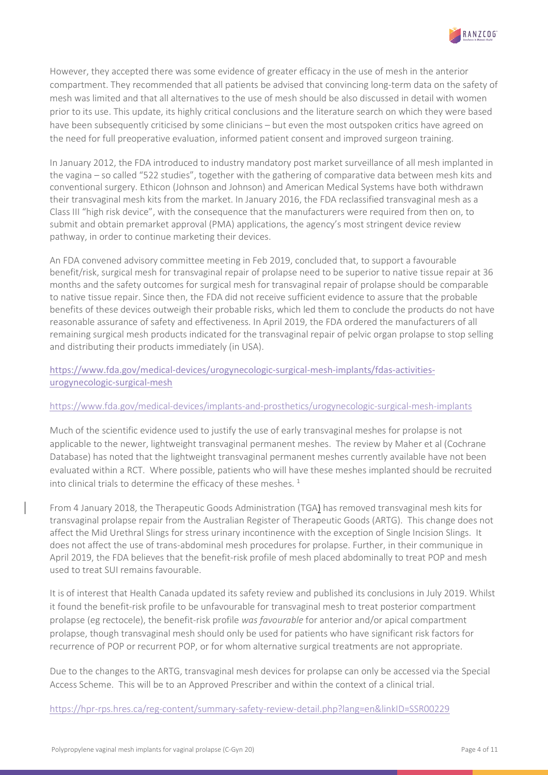

However, they accepted there was some evidence of greater efficacy in the use of mesh in the anterior compartment. They recommended that all patients be advised that convincing long-term data on the safety of mesh was limited and that all alternatives to the use of mesh should be also discussed in detail with women prior to its use. This update, its highly critical conclusions and the literature search on which they were based have been subsequently criticised by some clinicians – but even the most outspoken critics have agreed on the need for full preoperative evaluation, informed patient consent and improved surgeon training.

In January 2012, the FDA introduced to industry mandatory post market surveillance of all mesh implanted in the vagina – so called "522 studies", together with the gathering of comparative data between mesh kits and conventional surgery. Ethicon (Johnson and Johnson) and American Medical Systems have both withdrawn their transvaginal mesh kits from the market. In January 2016, the FDA reclassified transvaginal mesh as a Class III "high risk device", with the consequence that the manufacturers were required from then on, to submit and obtain premarket approval (PMA) applications, the agency's most stringent device review pathway, in order to continue marketing their devices.

An FDA convened advisory committee meeting in Feb 2019, concluded that, to support a favourable benefit/risk, surgical mesh for transvaginal repair of prolapse need to be superior to native tissue repair at 36 months and the safety outcomes for surgical mesh for transvaginal repair of prolapse should be comparable to native tissue repair. Since then, the FDA did not receive sufficient evidence to assure that the probable benefits of these devices outweigh their probable risks, which led them to conclude the products do not have reasonable assurance of safety and effectiveness. In April 2019, the FDA ordered the manufacturers of all remaining surgical mesh products indicated for the transvaginal repair of pelvic organ prolapse to stop selling and distributing their products immediately (in USA).

[https://www.fda.gov/medical-devices/urogynecologic-surgical-mesh-implants/fdas-activities](https://www.fda.gov/medical-devices/urogynecologic-surgical-mesh-implants/fdas-activities-urogynecologic-surgical-mesh)[urogynecologic-surgical-mesh](https://www.fda.gov/medical-devices/urogynecologic-surgical-mesh-implants/fdas-activities-urogynecologic-surgical-mesh)

### <https://www.fda.gov/medical-devices/implants-and-prosthetics/urogynecologic-surgical-mesh-implants>

Much of the scientific evidence used to justify the use of early transvaginal meshes for prolapse is not applicable to the newer, lightweight transvaginal permanent meshes. The review by Maher et al (Cochrane Database) has noted that the lightweight transvaginal permanent meshes currently available have not been evaluated within a RCT. Where possible, patients who will have these meshes implanted should be recruited into clinical trials to determine the efficacy of these meshes.<sup>1</sup>

From 4 January 2018, the Therapeutic Goods Administration (TGA) has removed transvaginal mesh kits for transvaginal prolapse repair from the Australian Register of Therapeutic Goods (ARTG). This change does not affect the Mid Urethral Slings for stress urinary incontinence with the exception of Single Incision Slings. It does not affect the use of trans-abdominal mesh procedures for prolapse. Further, in their communique in April 2019, the FDA believes that the benefit-risk profile of mesh placed abdominally to treat POP and mesh used to treat SUI remains favourable.

It is of interest that Health Canada updated its safety review and published its conclusions in July 2019. Whilst it found the benefit-risk profile to be unfavourable for transvaginal mesh to treat posterior compartment prolapse (eg rectocele), the benefit-risk profile *was favourable* for anterior and/or apical compartment prolapse, though transvaginal mesh should only be used for patients who have significant risk factors for recurrence of POP or recurrent POP, or for whom alternative surgical treatments are not appropriate.

Due to the changes to the ARTG, transvaginal mesh devices for prolapse can only be accessed via the Special Access Scheme. This will be to an Approved Prescriber and within the context of a clinical trial.

<https://hpr-rps.hres.ca/reg-content/summary-safety-review-detail.php?lang=en&linkID=SSR00229>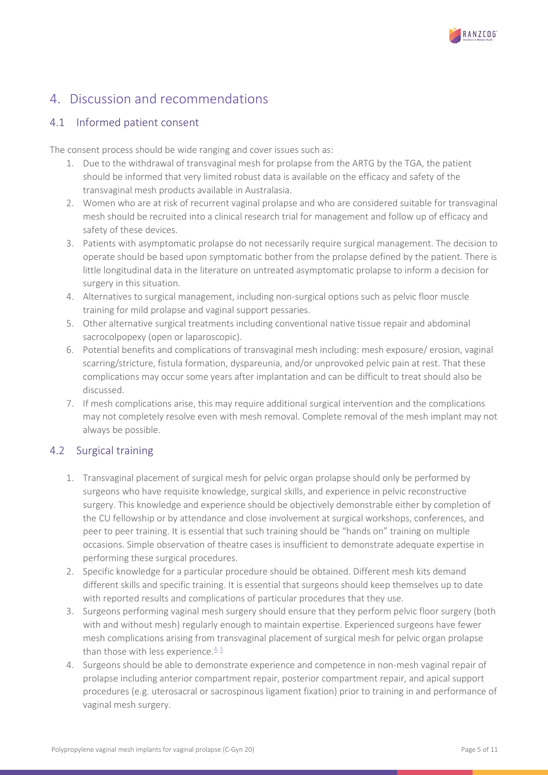

# <span id="page-4-0"></span>4. Discussion and recommendations

### <span id="page-4-1"></span>4.1 Informed patient consent

The consent process should be wide ranging and cover issues such as:

- 1. Due to the withdrawal of transvaginal mesh for prolapse from the ARTG by the TGA, the patient should be informed that very limited robust data is available on the efficacy and safety of the transvaginal mesh products available in Australasia.
- 2. Women who are at risk of recurrent vaginal prolapse and who are considered suitable for transvaginal mesh should be recruited into a clinical research trial for management and follow up of efficacy and safety of these devices.
- 3. Patients with asymptomatic prolapse do not necessarily require surgical management. The decision to operate should be based upon symptomatic bother from the prolapse defined by the patient. There is little longitudinal data in the literature on untreated asymptomatic prolapse to inform a decision for surgery in this situation.
- 4. Alternatives to surgical management, including non-surgical options such as pelvic floor muscle training for mild prolapse and vaginal support pessaries.
- 5. Other alternative surgical treatments including conventional native tissue repair and abdominal sacrocolpopexy (open or laparoscopic).
- 6. Potential benefits and complications of transvaginal mesh including: mesh exposure/ erosion, vaginal scarring/stricture, fistula formation, dyspareunia, and/or unprovoked pelvic pain at rest. That these complications may occur some years after implantation and can be difficult to treat should also be discussed.
- 7. If mesh complications arise, this may require additional surgical intervention and the complications may not completely resolve even with mesh removal. Complete removal of the mesh implant may not always be possible.

### <span id="page-4-2"></span>4.2 Surgical training

- 1. Transvaginal placement of surgical mesh for pelvic organ prolapse should only be performed by surgeons who have requisite knowledge, surgical skills, and experience in pelvic reconstructive surgery. This knowledge and experience should be objectively demonstrable either by completion of the CU fellowship or by attendance and close involvement at surgical workshops, conferences, and peer to peer training. It is essential that such training should be "hands on" training on multiple occasions. Simple observation of theatre cases is insufficient to demonstrate adequate expertise in performing these surgical procedures.
- 2. Specific knowledge for a particular procedure should be obtained. Different mesh kits demand different skills and specific training. It is essential that surgeons should keep themselves up to date with reported results and complications of particular procedures that they use.
- 3. Surgeons performing vaginal mesh surgery should ensure that they perform pelvic floor surgery (both with and without mesh) regularly enough to maintain expertise. Experienced surgeons have fewer mesh complications arising from transvaginal placement of surgical mesh for pelvic organ prolapse than those with less experience.  $4.5$
- 4. Surgeons should be able to demonstrate experience and competence in non-mesh vaginal repair of prolapse including anterior compartment repair, posterior compartment repair, and apical support procedures (e.g. uterosacral or sacrospinous ligament fixation) prior to training in and performance of vaginal mesh surgery.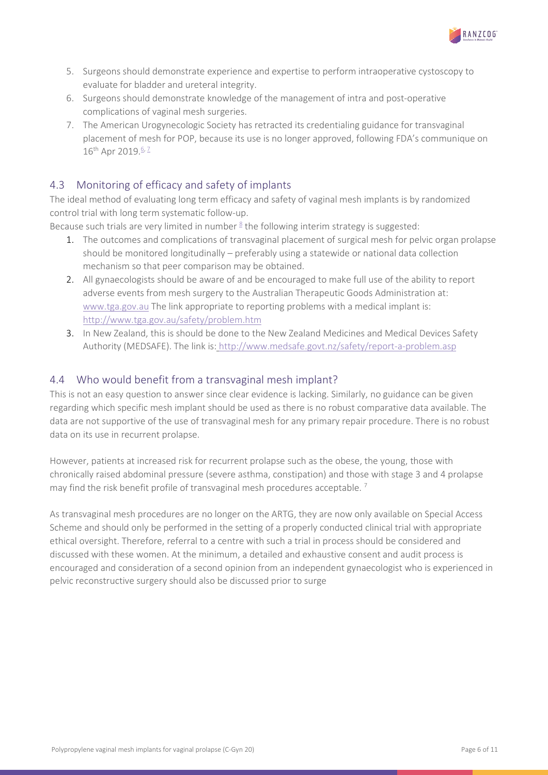

- 5. Surgeons should demonstrate experience and expertise to perform intraoperative cystoscopy to evaluate for bladder and ureteral integrity.
- 6. Surgeons should demonstrate knowledge of the management of intra and post-operative complications of vaginal mesh surgeries.
- 7. The American Urogynecologic Society has retracted its credentialing guidance for transvaginal placement of mesh for POP, because its use is no longer approved, following FDA's communique on 16<sup>th</sup> Apr 2019.<sup>6, [7](#page-6-7)</sup>

### <span id="page-5-0"></span>4.3 Monitoring of efficacy and safety of implants

The ideal method of evaluating long term efficacy and safety of vaginal mesh implants is by randomized control trial with long term systematic follow-up.

Because such trials are very limited in number  $8$  the following interim strategy is suggested:

- 1. The outcomes and complications of transvaginal placement of surgical mesh for pelvic organ prolapse should be monitored longitudinally – preferably using a statewide or national data collection mechanism so that peer comparison may be obtained.
- 2. All gynaecologists should be aware of and be encouraged to make full use of the ability to report adverse events from mesh surgery to the Australian Therapeutic Goods Administration at: [www.tga.gov.au](http://www.tga.gov.au/) The link appropriate to reporting problems with a medical implant is: <http://www.tga.gov.au/safety/problem.htm>
- 3. In New Zealand, this is should be done to the New Zealand Medicines and Medical Devices Safety Authority (MEDSAFE). The link is: <http://www.medsafe.govt.nz/safety/report-a-problem.asp>

### <span id="page-5-1"></span>4.4 Who would benefit from a transvaginal mesh implant?

This is not an easy question to answer since clear evidence is lacking. Similarly, no guidance can be given regarding which specific mesh implant should be used as there is no robust comparative data available. The data are not supportive of the use of transvaginal mesh for any primary repair procedure. There is no robust data on its use in recurrent prolapse.

However, patients at increased risk for recurrent prolapse such as the obese, the young, those with chronically raised abdominal pressure (severe asthma, constipation) and those with stage 3 and 4 prolapse may find the risk benefit profile of transvaginal mesh procedures acceptable.<sup>7</sup>

As transvaginal mesh procedures are no longer on the ARTG, they are now only available on Special Access Scheme and should only be performed in the setting of a properly conducted clinical trial with appropriate ethical oversight. Therefore, referral to a centre with such a trial in process should be considered and discussed with these women. At the minimum, a detailed and exhaustive consent and audit process is encouraged and consideration of a second opinion from an independent gynaecologist who is experienced in pelvic reconstructive surgery should also be discussed prior to surge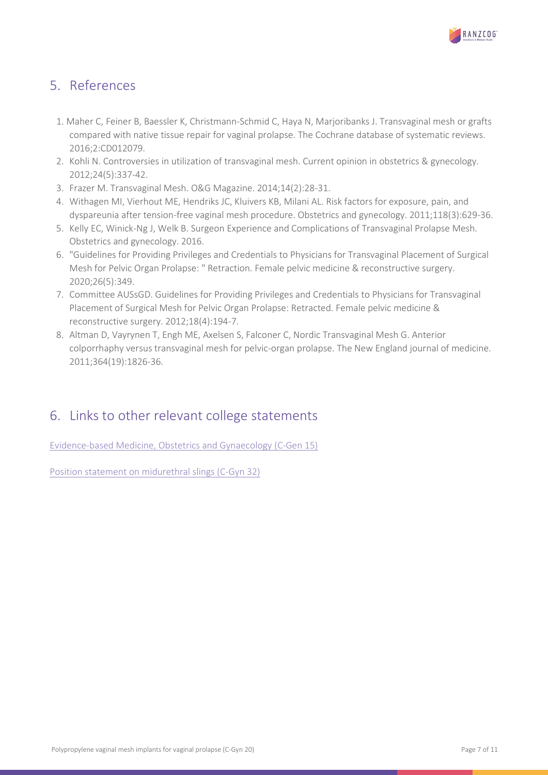

# <span id="page-6-0"></span>5. References

- 1. Maher C, Feiner B, Baessler K, Christmann-Schmid C, Haya N, Marjoribanks J. Transvaginal mesh or grafts compared with native tissue repair for vaginal prolapse. The Cochrane database of systematic reviews. 2016;2:CD012079.
- <span id="page-6-2"></span>2. Kohli N. Controversies in utilization of transvaginal mesh. Current opinion in obstetrics & gynecology. 2012;24(5):337-42.
- <span id="page-6-3"></span>3. Frazer M. Transvaginal Mesh. O&G Magazine. 2014;14(2):28-31.
- <span id="page-6-4"></span>4. Withagen MI, Vierhout ME, Hendriks JC, Kluivers KB, Milani AL. Risk factors for exposure, pain, and dyspareunia after tension-free vaginal mesh procedure. Obstetrics and gynecology. 2011;118(3):629-36.
- <span id="page-6-5"></span>5. Kelly EC, Winick-Ng J, Welk B. Surgeon Experience and Complications of Transvaginal Prolapse Mesh. Obstetrics and gynecology. 2016.
- <span id="page-6-6"></span>6. "Guidelines for Providing Privileges and Credentials to Physicians for Transvaginal Placement of Surgical Mesh for Pelvic Organ Prolapse: " Retraction. Female pelvic medicine & reconstructive surgery. 2020;26(5):349.
- <span id="page-6-7"></span>7. Committee AUSsGD. Guidelines for Providing Privileges and Credentials to Physicians for Transvaginal Placement of Surgical Mesh for Pelvic Organ Prolapse: Retracted. Female pelvic medicine & reconstructive surgery. 2012;18(4):194-7.
- <span id="page-6-8"></span>8. Altman D, Vayrynen T, Engh ME, Axelsen S, Falconer C, Nordic Transvaginal Mesh G. Anterior colporrhaphy versus transvaginal mesh for pelvic-organ prolapse. The New England journal of medicine. 2011;364(19):1826-36.

# <span id="page-6-1"></span>6. Links to other relevant college statements

[Evidence-based Medicine, Obstetrics and Gynaecology \(C-Gen 15\)](https://ranzcog.edu.au/RANZCOG_SITE/media/RANZCOG-MEDIA/Women%27s%20Health/Statement%20and%20guidelines/Clinical%20-%20General/Evidence-based_Medicine_Obstetrics_and_Gynaecology_(C-Gen-15)-March-2021.pdf?ext=.pdf%20)

[Position statement on midurethral slings](https://ranzcog.edu.au/RANZCOG_SITE/media/RANZCOG-MEDIA/Women%27s%20Health/Statement%20and%20guidelines/Clinical%20-%20Gynaecology/Midurethral-Slings-(C-Gyn-32)-Board-approved-March-2022.pdf?ext=.pdf) (C-Gyn 32)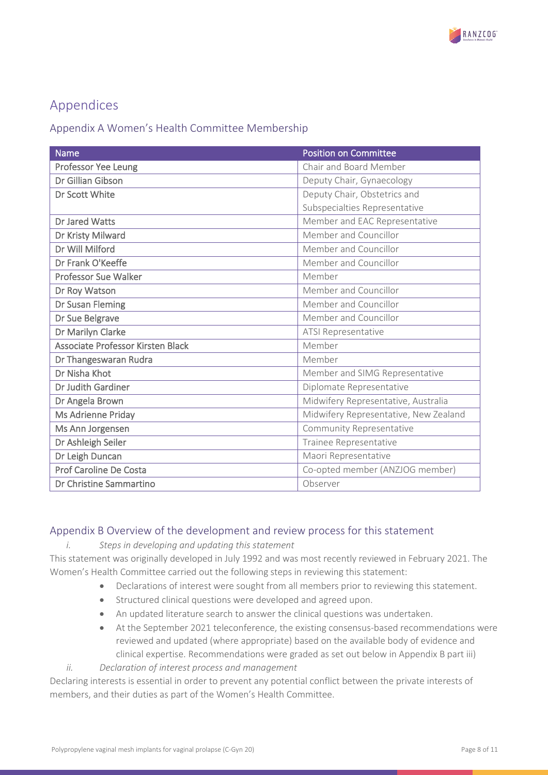

# Appendices

### <span id="page-7-0"></span>Appendix A Women's Health Committee Membership

| <b>Name</b>                       | <b>Position on Committee</b>          |
|-----------------------------------|---------------------------------------|
| Professor Yee Leung               | Chair and Board Member                |
| Dr Gillian Gibson                 | Deputy Chair, Gynaecology             |
| Dr Scott White                    | Deputy Chair, Obstetrics and          |
|                                   | Subspecialties Representative         |
| Dr Jared Watts                    | Member and EAC Representative         |
| Dr Kristy Milward                 | Member and Councillor                 |
| Dr Will Milford                   | Member and Councillor                 |
| Dr Frank O'Keeffe                 | Member and Councillor                 |
| <b>Professor Sue Walker</b>       | Member                                |
| Dr Roy Watson                     | Member and Councillor                 |
| Dr Susan Fleming                  | Member and Councillor                 |
| Dr Sue Belgrave                   | Member and Councillor                 |
| Dr Marilyn Clarke                 | ATSI Representative                   |
| Associate Professor Kirsten Black | Member                                |
| Dr Thangeswaran Rudra             | Member                                |
| Dr Nisha Khot                     | Member and SIMG Representative        |
| Dr Judith Gardiner                | Diplomate Representative              |
| Dr Angela Brown                   | Midwifery Representative, Australia   |
| Ms Adrienne Priday                | Midwifery Representative, New Zealand |
| Ms Ann Jorgensen                  | Community Representative              |
| Dr Ashleigh Seiler                | Trainee Representative                |
| Dr Leigh Duncan                   | Maori Representative                  |
| Prof Caroline De Costa            | Co-opted member (ANZJOG member)       |
| Dr Christine Sammartino           | Observer                              |

### <span id="page-7-1"></span>Appendix B Overview of the development and review process for this statement

#### *i. Steps in developing and updating this statement*

This statement was originally developed in July 1992 and was most recently reviewed in February 2021. The Women's Health Committee carried out the following steps in reviewing this statement:

- Declarations of interest were sought from all members prior to reviewing this statement.
- Structured clinical questions were developed and agreed upon.
- An updated literature search to answer the clinical questions was undertaken.
- At the September 2021 teleconference, the existing consensus-based recommendations were reviewed and updated (where appropriate) based on the available body of evidence and clinical expertise. Recommendations were graded as set out below in Appendix B part iii)
- *ii. Declaration of interest process and management*

Declaring interests is essential in order to prevent any potential conflict between the private interests of members, and their duties as part of the Women's Health Committee.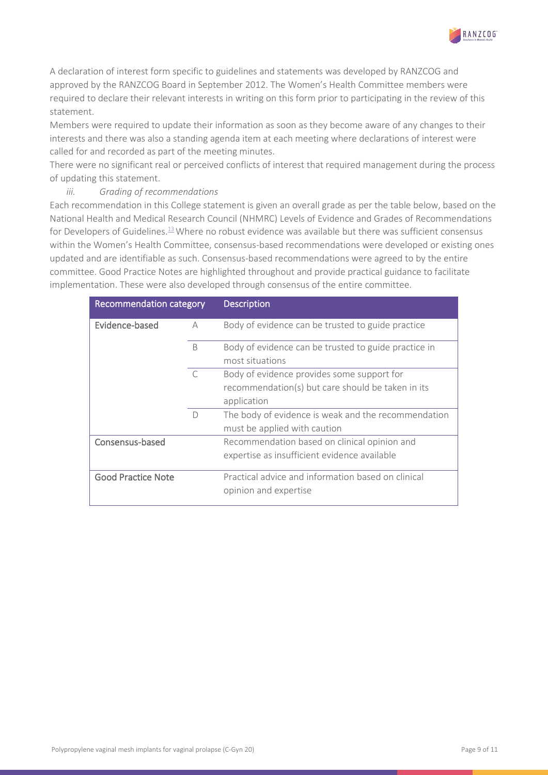A declaration of interest form specific to guidelines and statements was developed by RANZCOG and approved by the RANZCOG Board in September 2012. The Women's Health Committee members were required to declare their relevant interests in writing on this form prior to participating in the review of this statement.

Members were required to update their information as soon as they become aware of any changes to their interests and there was also a standing agenda item at each meeting where declarations of interest were called for and recorded as part of the meeting minutes.

There were no significant real or perceived conflicts of interest that required management during the process of updating this statement.

#### *iii. Grading of recommendations*

Each recommendation in this College statement is given an overall grade as per the table below, based on the National Health and Medical Research Council (NHMRC) Levels of Evidence and Grades of Recommendations for Developers of Guidelines. $13$ Where no robust evidence was available but there was sufficient consensus within the Women's Health Committee, consensus-based recommendations were developed or existing ones updated and are identifiable as such. Consensus-based recommendations were agreed to by the entire committee. Good Practice Notes are highlighted throughout and provide practical guidance to facilitate implementation. These were also developed through consensus of the entire committee.

| <b>Recommendation category</b> |              | <b>Description</b>                                   |
|--------------------------------|--------------|------------------------------------------------------|
| Evidence-based                 | А            | Body of evidence can be trusted to guide practice    |
|                                | <sub>B</sub> | Body of evidence can be trusted to guide practice in |
|                                |              | most situations                                      |
|                                | $\subset$    | Body of evidence provides some support for           |
|                                |              | recommendation(s) but care should be taken in its    |
|                                |              | application                                          |
|                                | D            | The body of evidence is weak and the recommendation  |
|                                |              | must be applied with caution                         |
| Consensus-based                |              | Recommendation based on clinical opinion and         |
|                                |              | expertise as insufficient evidence available         |
| <b>Good Practice Note</b>      |              | Practical advice and information based on clinical   |
|                                |              | opinion and expertise                                |

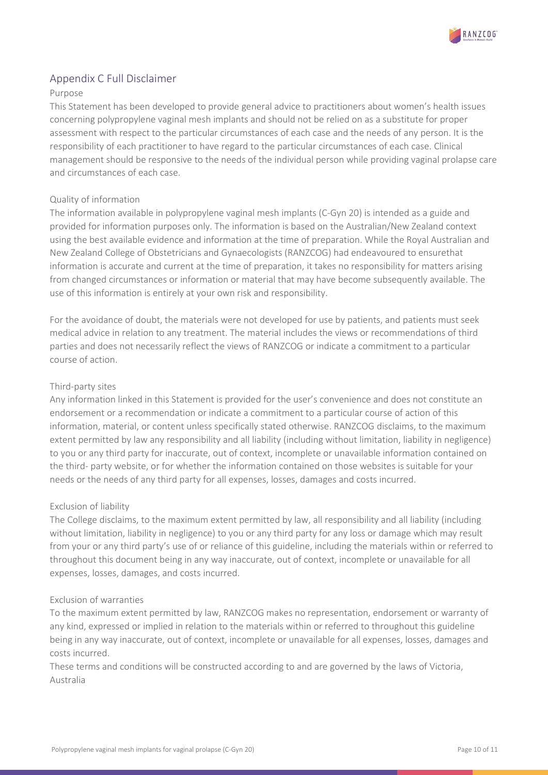

### <span id="page-9-0"></span>Appendix C Full Disclaimer

#### Purpose

This Statement has been developed to provide general advice to practitioners about women's health issues concerning polypropylene vaginal mesh implants and should not be relied on as a substitute for proper assessment with respect to the particular circumstances of each case and the needs of any person. It is the responsibility of each practitioner to have regard to the particular circumstances of each case. Clinical management should be responsive to the needs of the individual person while providing vaginal prolapse care and circumstances of each case.

#### Quality of information

The information available in polypropylene vaginal mesh implants (C-Gyn 20) is intended as a guide and provided for information purposes only. The information is based on the Australian/New Zealand context using the best available evidence and information at the time of preparation. While the Royal Australian and New Zealand College of Obstetricians and Gynaecologists (RANZCOG) had endeavoured to ensurethat information is accurate and current at the time of preparation, it takes no responsibility for matters arising from changed circumstances or information or material that may have become subsequently available. The use of this information is entirely at your own risk and responsibility.

For the avoidance of doubt, the materials were not developed for use by patients, and patients must seek medical advice in relation to any treatment. The material includes the views or recommendations of third parties and does not necessarily reflect the views of RANZCOG or indicate a commitment to a particular course of action.

#### Third-party sites

Any information linked in this Statement is provided for the user's convenience and does not constitute an endorsement or a recommendation or indicate a commitment to a particular course of action of this information, material, or content unless specifically stated otherwise. RANZCOG disclaims, to the maximum extent permitted by law any responsibility and all liability (including without limitation, liability in negligence) to you or any third party for inaccurate, out of context, incomplete or unavailable information contained on the third- party website, or for whether the information contained on those websites is suitable for your needs or the needs of any third party for all expenses, losses, damages and costs incurred.

#### Exclusion of liability

The College disclaims, to the maximum extent permitted by law, all responsibility and all liability (including without limitation, liability in negligence) to you or any third party for any loss or damage which may result from your or any third party's use of or reliance of this guideline, including the materials within or referred to throughout this document being in any way inaccurate, out of context, incomplete or unavailable for all expenses, losses, damages, and costs incurred.

#### Exclusion of warranties

To the maximum extent permitted by law, RANZCOG makes no representation, endorsement or warranty of any kind, expressed or implied in relation to the materials within or referred to throughout this guideline being in any way inaccurate, out of context, incomplete or unavailable for all expenses, losses, damages and costs incurred.

These terms and conditions will be constructed according to and are governed by the laws of Victoria, Australia